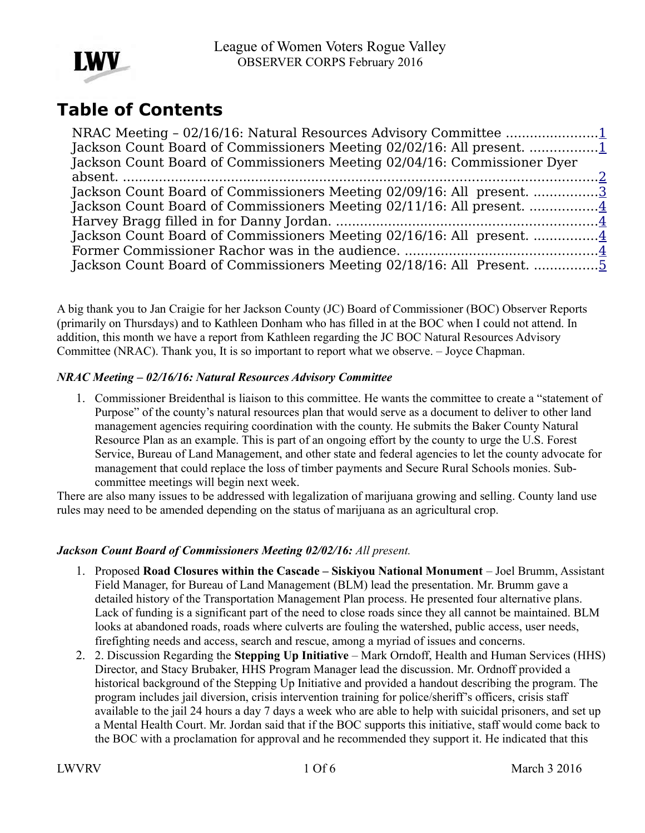

# **Table of Contents**

| Jackson Count Board of Commissioners Meeting 02/02/16: All present. 1    |  |
|--------------------------------------------------------------------------|--|
| Jackson Count Board of Commissioners Meeting 02/04/16: Commissioner Dyer |  |
|                                                                          |  |
| Jackson Count Board of Commissioners Meeting 02/09/16: All present. 3    |  |
|                                                                          |  |
|                                                                          |  |
|                                                                          |  |
|                                                                          |  |
|                                                                          |  |

A big thank you to Jan Craigie for her Jackson County (JC) Board of Commissioner (BOC) Observer Reports (primarily on Thursdays) and to Kathleen Donham who has filled in at the BOC when I could not attend. In addition, this month we have a report from Kathleen regarding the JC BOC Natural Resources Advisory Committee (NRAC). Thank you, It is so important to report what we observe. – Joyce Chapman.

#### <span id="page-0-1"></span>*NRAC Meeting – 02/16/16: Natural Resources Advisory Committee*

1. Commissioner Breidenthal is liaison to this committee. He wants the committee to create a "statement of Purpose" of the county's natural resources plan that would serve as a document to deliver to other land management agencies requiring coordination with the county. He submits the Baker County Natural Resource Plan as an example. This is part of an ongoing effort by the county to urge the U.S. Forest Service, Bureau of Land Management, and other state and federal agencies to let the county advocate for management that could replace the loss of timber payments and Secure Rural Schools monies. Subcommittee meetings will begin next week.

There are also many issues to be addressed with legalization of marijuana growing and selling. County land use rules may need to be amended depending on the status of marijuana as an agricultural crop.

#### <span id="page-0-0"></span>*Jackson Count Board of Commissioners Meeting 02/02/16: All present.*

- 1. Proposed Road Closures within the Cascade Siskiyou National Monument Joel Brumm, Assistant Field Manager, for Bureau of Land Management (BLM) lead the presentation. Mr. Brumm gave a detailed history of the Transportation Management Plan process. He presented four alternative plans. Lack of funding is a significant part of the need to close roads since they all cannot be maintained. BLM looks at abandoned roads, roads where culverts are fouling the watershed, public access, user needs, firefighting needs and access, search and rescue, among a myriad of issues and concerns.
- 2. 2. Discussion Regarding the **Stepping Up Initiative**  Mark Orndoff, Health and Human Services (HHS) Director, and Stacy Brubaker, HHS Program Manager lead the discussion. Mr. Ordnoff provided a historical background of the Stepping Up Initiative and provided a handout describing the program. The program includes jail diversion, crisis intervention training for police/sheriff's officers, crisis staff available to the jail 24 hours a day 7 days a week who are able to help with suicidal prisoners, and set up a Mental Health Court. Mr. Jordan said that if the BOC supports this initiative, staff would come back to the BOC with a proclamation for approval and he recommended they support it. He indicated that this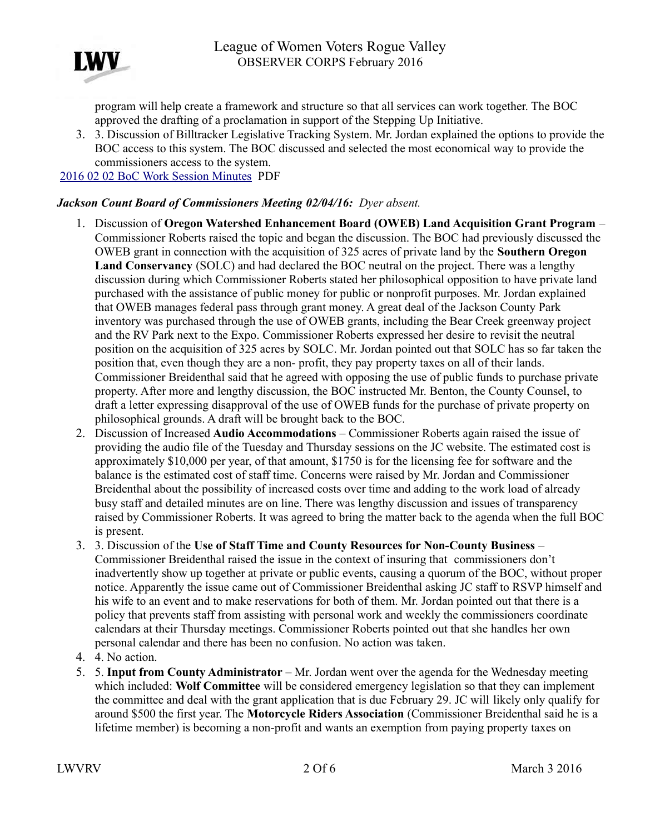

program will help create a framework and structure so that all services can work together. The BOC approved the drafting of a proclamation in support of the Stepping Up Initiative.

3. 3. Discussion of Billtracker Legislative Tracking System. Mr. Jordan explained the options to provide the BOC access to this system. The BOC discussed and selected the most economical way to provide the commissioners access to the system.

[2016 02 02 BoC Work Session Minutes](http://jacksoncountyor.org/Board-of-Commissioners/Meeting-Archive?EntryId=41298&Command=Core_Download) PDF

#### <span id="page-1-0"></span>*Jackson Count Board of Commissioners Meeting 02/04/16: Dyer absent.*

- 1. Discussion of **Oregon Watershed Enhancement Board (OWEB) Land Acquisition Grant Program**  Commissioner Roberts raised the topic and began the discussion. The BOC had previously discussed the OWEB grant in connection with the acquisition of 325 acres of private land by the **Southern Oregon Land Conservancy** (SOLC) and had declared the BOC neutral on the project. There was a lengthy discussion during which Commissioner Roberts stated her philosophical opposition to have private land purchased with the assistance of public money for public or nonprofit purposes. Mr. Jordan explained that OWEB manages federal pass through grant money. A great deal of the Jackson County Park inventory was purchased through the use of OWEB grants, including the Bear Creek greenway project and the RV Park next to the Expo. Commissioner Roberts expressed her desire to revisit the neutral position on the acquisition of 325 acres by SOLC. Mr. Jordan pointed out that SOLC has so far taken the position that, even though they are a non- profit, they pay property taxes on all of their lands. Commissioner Breidenthal said that he agreed with opposing the use of public funds to purchase private property. After more and lengthy discussion, the BOC instructed Mr. Benton, the County Counsel, to draft a letter expressing disapproval of the use of OWEB funds for the purchase of private property on philosophical grounds. A draft will be brought back to the BOC.
- 2. Discussion of Increased **Audio Accommodations**  Commissioner Roberts again raised the issue of providing the audio file of the Tuesday and Thursday sessions on the JC website. The estimated cost is approximately \$10,000 per year, of that amount, \$1750 is for the licensing fee for software and the balance is the estimated cost of staff time. Concerns were raised by Mr. Jordan and Commissioner Breidenthal about the possibility of increased costs over time and adding to the work load of already busy staff and detailed minutes are on line. There was lengthy discussion and issues of transparency raised by Commissioner Roberts. It was agreed to bring the matter back to the agenda when the full BOC is present.
- 3. 3. Discussion of the **Use of Staff Time and County Resources for Non-County Business**  Commissioner Breidenthal raised the issue in the context of insuring that commissioners don't inadvertently show up together at private or public events, causing a quorum of the BOC, without proper notice. Apparently the issue came out of Commissioner Breidenthal asking JC staff to RSVP himself and his wife to an event and to make reservations for both of them. Mr. Jordan pointed out that there is a policy that prevents staff from assisting with personal work and weekly the commissioners coordinate calendars at their Thursday meetings. Commissioner Roberts pointed out that she handles her own personal calendar and there has been no confusion. No action was taken.
- 4. 4. No action.
- 5. 5. **Input from County Administrator** Mr. Jordan went over the agenda for the Wednesday meeting which included: **Wolf Committee** will be considered emergency legislation so that they can implement the committee and deal with the grant application that is due February 29. JC will likely only qualify for around \$500 the first year. The **Motorcycle Riders Association** (Commissioner Breidenthal said he is a lifetime member) is becoming a non-profit and wants an exemption from paying property taxes on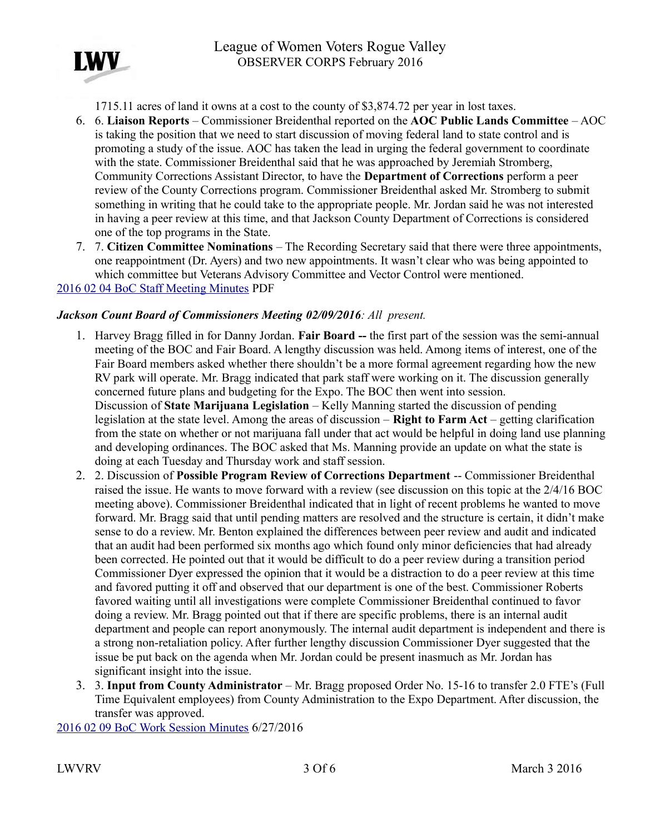

1715.11 acres of land it owns at a cost to the county of \$3,874.72 per year in lost taxes.

- 6. 6. **Liaison Reports**  Commissioner Breidenthal reported on the **AOC Public Lands Committee**  AOC is taking the position that we need to start discussion of moving federal land to state control and is promoting a study of the issue. AOC has taken the lead in urging the federal government to coordinate with the state. Commissioner Breidenthal said that he was approached by Jeremiah Stromberg, Community Corrections Assistant Director, to have the **Department of Corrections** perform a peer review of the County Corrections program. Commissioner Breidenthal asked Mr. Stromberg to submit something in writing that he could take to the appropriate people. Mr. Jordan said he was not interested in having a peer review at this time, and that Jackson County Department of Corrections is considered one of the top programs in the State.
- 7. 7. **Citizen Committee Nominations**  The Recording Secretary said that there were three appointments, one reappointment (Dr. Ayers) and two new appointments. It wasn't clear who was being appointed to which committee but Veterans Advisory Committee and Vector Control were mentioned. [2016 02 04 BoC Staff Meeting Minutes](http://jacksoncountyor.org/Board-of-Commissioners/Meeting-Archive?EntryId=41297&Command=Core_Download) PDF

#### <span id="page-2-0"></span>*Jackson Count Board of Commissioners Meeting 02/09/2016: All present.*

- 1. Harvey Bragg filled in for Danny Jordan. **Fair Board --** the first part of the session was the semi-annual meeting of the BOC and Fair Board. A lengthy discussion was held. Among items of interest, one of the Fair Board members asked whether there shouldn't be a more formal agreement regarding how the new RV park will operate. Mr. Bragg indicated that park staff were working on it. The discussion generally concerned future plans and budgeting for the Expo. The BOC then went into session. Discussion of **State Marijuana Legislation** – Kelly Manning started the discussion of pending legislation at the state level. Among the areas of discussion – **Right to Farm Act** – getting clarification from the state on whether or not marijuana fall under that act would be helpful in doing land use planning and developing ordinances. The BOC asked that Ms. Manning provide an update on what the state is doing at each Tuesday and Thursday work and staff session.
- 2. 2. Discussion of **Possible Program Review of Corrections Department** -- Commissioner Breidenthal raised the issue. He wants to move forward with a review (see discussion on this topic at the 2/4/16 BOC meeting above). Commissioner Breidenthal indicated that in light of recent problems he wanted to move forward. Mr. Bragg said that until pending matters are resolved and the structure is certain, it didn't make sense to do a review. Mr. Benton explained the differences between peer review and audit and indicated that an audit had been performed six months ago which found only minor deficiencies that had already been corrected. He pointed out that it would be difficult to do a peer review during a transition period Commissioner Dyer expressed the opinion that it would be a distraction to do a peer review at this time and favored putting it off and observed that our department is one of the best. Commissioner Roberts favored waiting until all investigations were complete Commissioner Breidenthal continued to favor doing a review. Mr. Bragg pointed out that if there are specific problems, there is an internal audit department and people can report anonymously. The internal audit department is independent and there is a strong non-retaliation policy. After further lengthy discussion Commissioner Dyer suggested that the issue be put back on the agenda when Mr. Jordan could be present inasmuch as Mr. Jordan has significant insight into the issue.
- 3. 3. **Input from County Administrator**  Mr. Bragg proposed Order No. 15-16 to transfer 2.0 FTE's (Full Time Equivalent employees) from County Administration to the Expo Department. After discussion, the transfer was approved.

[2016 02 09 BoC Work Session Minutes](http://jacksoncountyor.org/Board-of-Commissioners/Meeting-Archive?EntryId=41346&Command=Core_Download) 6/27/2016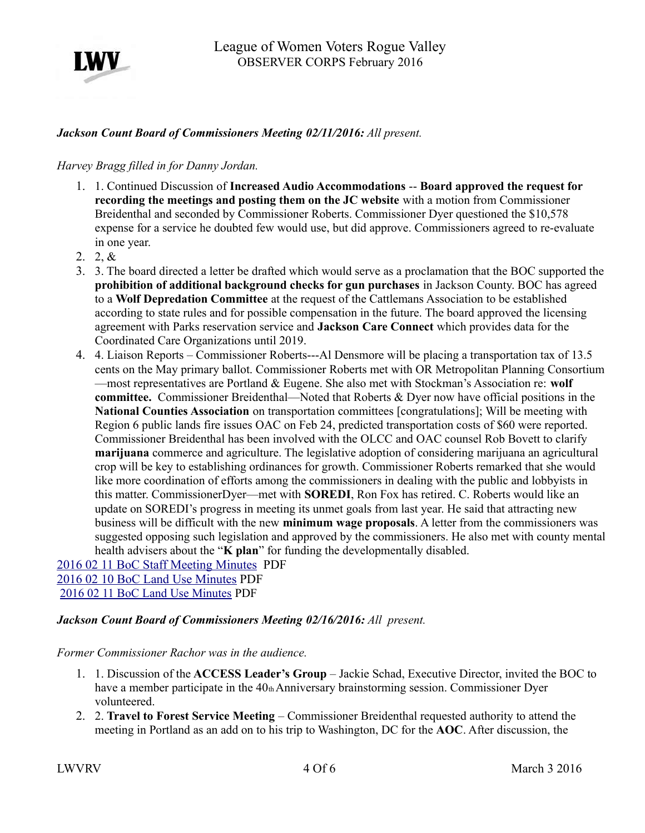

### <span id="page-3-3"></span>*Jackson Count Board of Commissioners Meeting 02/11/2016: All present.*

#### <span id="page-3-2"></span>*Harvey Bragg filled in for Danny Jordan.*

- 1. 1. Continued Discussion of **Increased Audio Accommodations** -- **Board approved the request for recording the meetings and posting them on the JC website** with a motion from Commissioner Breidenthal and seconded by Commissioner Roberts. Commissioner Dyer questioned the \$10,578 expense for a service he doubted few would use, but did approve. Commissioners agreed to re-evaluate in one year.
- 2. 2, &
- 3. 3. The board directed a letter be drafted which would serve as a proclamation that the BOC supported the **prohibition of additional background checks for gun purchases** in Jackson County. BOC has agreed to a **Wolf Depredation Committee** at the request of the Cattlemans Association to be established according to state rules and for possible compensation in the future. The board approved the licensing agreement with Parks reservation service and **Jackson Care Connect** which provides data for the Coordinated Care Organizations until 2019.
- 4. 4. Liaison Reports Commissioner Roberts---Al Densmore will be placing a transportation tax of 13.5 cents on the May primary ballot. Commissioner Roberts met with OR Metropolitan Planning Consortium —most representatives are Portland & Eugene. She also met with Stockman's Association re: **wolf committee.** Commissioner Breidenthal—Noted that Roberts & Dyer now have official positions in the **National Counties Association** on transportation committees [congratulations]; Will be meeting with Region 6 public lands fire issues OAC on Feb 24, predicted transportation costs of \$60 were reported. Commissioner Breidenthal has been involved with the OLCC and OAC counsel Rob Bovett to clarify **marijuana** commerce and agriculture. The legislative adoption of considering marijuana an agricultural crop will be key to establishing ordinances for growth. Commissioner Roberts remarked that she would like more coordination of efforts among the commissioners in dealing with the public and lobbyists in this matter. CommissionerDyer—met with **SOREDI**, Ron Fox has retired. C. Roberts would like an update on SOREDI's progress in meeting its unmet goals from last year. He said that attracting new business will be difficult with the new **minimum wage proposals**. A letter from the commissioners was suggested opposing such legislation and approved by the commissioners. He also met with county mental health advisers about the "**K plan**" for funding the developmentally disabled.

[2016 02 11 BoC Staff Meeting Minutes](http://jacksoncountyor.org/Board-of-Commissioners/Meeting-Archive?EntryId=41314&Command=Core_Download) PDF [2016 02 10 BoC Land Use Minutes](http://jacksoncountyor.org/Board-of-Commissioners/Meeting-Archive?EntryId=41524&Command=Core_Download) PDF [2016 02 11 BoC Land Use Minutes](http://jacksoncountyor.org/Board-of-Commissioners/Meeting-Archive?EntryId=41525&Command=Core_Download) PDF

#### <span id="page-3-1"></span>*Jackson Count Board of Commissioners Meeting 02/16/2016: All present.*

#### <span id="page-3-0"></span>*Former Commissioner Rachor was in the audience.*

- 1. 1. Discussion of the **ACCESS Leader's Group**  Jackie Schad, Executive Director, invited the BOC to have a member participate in the 40th Anniversary brainstorming session. Commissioner Dyer volunteered.
- 2. 2. **Travel to Forest Service Meeting**  Commissioner Breidenthal requested authority to attend the meeting in Portland as an add on to his trip to Washington, DC for the **AOC**. After discussion, the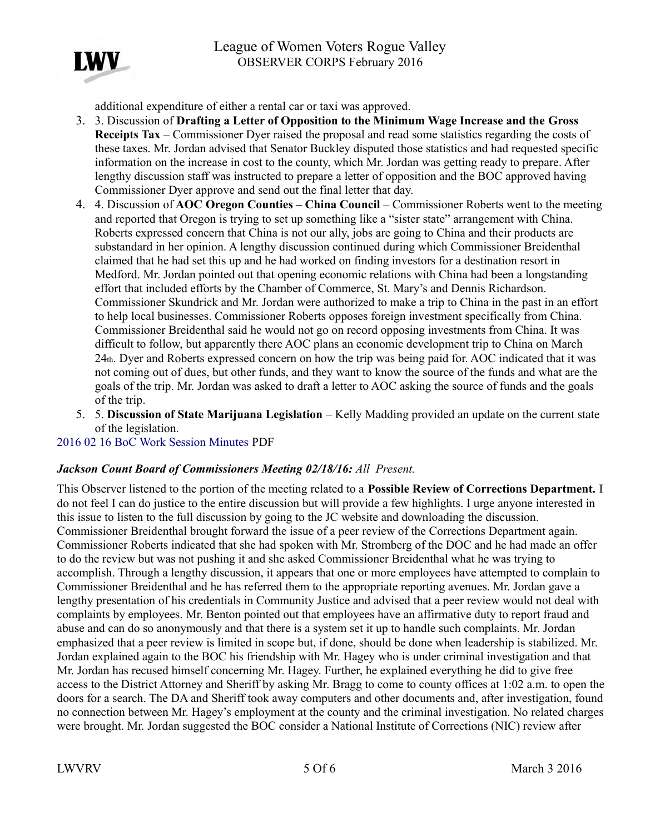

additional expenditure of either a rental car or taxi was approved.

- 3. 3. Discussion of **Drafting a Letter of Opposition to the Minimum Wage Increase and the Gross Receipts Tax** – Commissioner Dyer raised the proposal and read some statistics regarding the costs of these taxes. Mr. Jordan advised that Senator Buckley disputed those statistics and had requested specific information on the increase in cost to the county, which Mr. Jordan was getting ready to prepare. After lengthy discussion staff was instructed to prepare a letter of opposition and the BOC approved having Commissioner Dyer approve and send out the final letter that day.
- 4. 4. Discussion of **AOC Oregon Counties China Council**  Commissioner Roberts went to the meeting and reported that Oregon is trying to set up something like a "sister state" arrangement with China. Roberts expressed concern that China is not our ally, jobs are going to China and their products are substandard in her opinion. A lengthy discussion continued during which Commissioner Breidenthal claimed that he had set this up and he had worked on finding investors for a destination resort in Medford. Mr. Jordan pointed out that opening economic relations with China had been a longstanding effort that included efforts by the Chamber of Commerce, St. Mary's and Dennis Richardson. Commissioner Skundrick and Mr. Jordan were authorized to make a trip to China in the past in an effort to help local businesses. Commissioner Roberts opposes foreign investment specifically from China. Commissioner Breidenthal said he would not go on record opposing investments from China. It was difficult to follow, but apparently there AOC plans an economic development trip to China on March 24th. Dyer and Roberts expressed concern on how the trip was being paid for. AOC indicated that it was not coming out of dues, but other funds, and they want to know the source of the funds and what are the goals of the trip. Mr. Jordan was asked to draft a letter to AOC asking the source of funds and the goals of the trip.
- 5. 5. **Discussion of State Marijuana Legislation**  Kelly Madding provided an update on the current state of the legislation.

## [2016 02 16 BoC Work Session Minutes](http://jacksoncountyor.org/Board-of-Commissioners/Meeting-Archive?EntryId=41311&Command=Core_Download) PDF

### <span id="page-4-0"></span>*Jackson Count Board of Commissioners Meeting 02/18/16: All Present.*

This Observer listened to the portion of the meeting related to a **Possible Review of Corrections Department.** I do not feel I can do justice to the entire discussion but will provide a few highlights. I urge anyone interested in this issue to listen to the full discussion by going to the JC website and downloading the discussion. Commissioner Breidenthal brought forward the issue of a peer review of the Corrections Department again. Commissioner Roberts indicated that she had spoken with Mr. Stromberg of the DOC and he had made an offer to do the review but was not pushing it and she asked Commissioner Breidenthal what he was trying to accomplish. Through a lengthy discussion, it appears that one or more employees have attempted to complain to Commissioner Breidenthal and he has referred them to the appropriate reporting avenues. Mr. Jordan gave a lengthy presentation of his credentials in Community Justice and advised that a peer review would not deal with complaints by employees. Mr. Benton pointed out that employees have an affirmative duty to report fraud and abuse and can do so anonymously and that there is a system set it up to handle such complaints. Mr. Jordan emphasized that a peer review is limited in scope but, if done, should be done when leadership is stabilized. Mr. Jordan explained again to the BOC his friendship with Mr. Hagey who is under criminal investigation and that Mr. Jordan has recused himself concerning Mr. Hagey. Further, he explained everything he did to give free access to the District Attorney and Sheriff by asking Mr. Bragg to come to county offices at 1:02 a.m. to open the doors for a search. The DA and Sheriff took away computers and other documents and, after investigation, found no connection between Mr. Hagey's employment at the county and the criminal investigation. No related charges were brought. Mr. Jordan suggested the BOC consider a National Institute of Corrections (NIC) review after